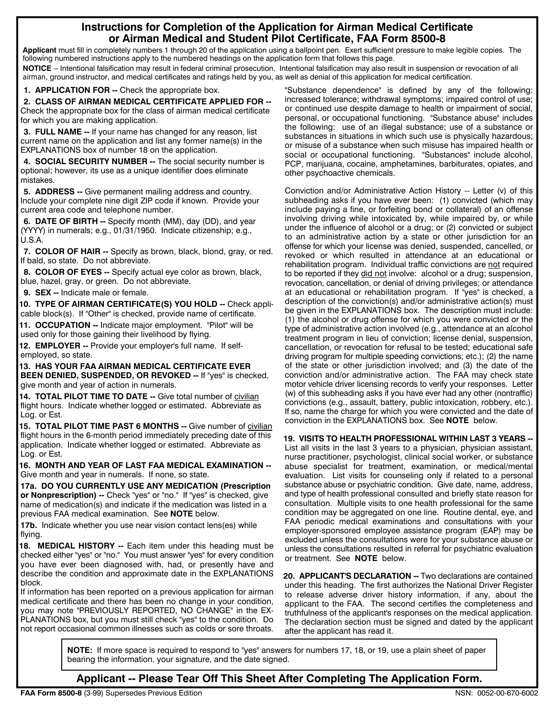## **Instructions for Completion of the Application for Airman Medical Certificate or Airman Medical and Student Pilot Certificate, FAA Form 8500-8**

**Applicant** must fill in completely numbers 1 through 20 of the application using a ballpoint pen. Exert sufficient pressure to make legible copies. The following numbered instructions apply to the numbered headings on the application form that follows this page.

**NOTICE** -- Intentional falsification may result in federal criminal prosecution. Intentional falsification may also result in suspension or revocation of all airman, ground instructor, and medical certificates and ratings held by you, as well as denial of this application for medical certification.<br>1. **APPLICATION FOR --** Check the appropriate box. "Substance dependence" is def

ī

**2. CLASS OF AIRMAN MEDICAL CERTIFICATE APPLIED FOR --** Check the appropriate box for the class of airman medical certificate for which you are making application.

**3. FULL NAME --** If your name has changed for any reason, list current name on the application and list any former name(s) in the EXPLANATIONS box of number 18 on the application.

**4. SOCIAL SECURITY NUMBER --** The social security number is optional; however, its use as a unique identifier does eliminate mistakes.

**5. ADDRESS --** Give permanent mailing address and country. Include your complete nine digit ZIP code if known. Provide your current area code and telephone number.

**6. DATE OF BIRTH --** Specify month (MM), day (DD), and year (YYYY) in numerals; e.g., 01/31/1950. Indicate citizenship; e.g., U.S.A.

**7. COLOR OF HAIR --** Specify as brown, black, blond, gray, or red. If bald, so state. Do not abbreviate.

**8. COLOR OF EYES --** Specify actual eye color as brown, black, blue, hazel, gray, or green. Do not abbreviate.

**9. SEX --** Indicate male or female.

**10. TYPE OF AIRMAN CERTIFICATE(S) YOU HOLD --** Check applicable block(s). If "Other" is checked, provide name of certificate.

**11. OCCUPATION --** Indicate major employment. "Pilot" will be used only for those gaining their livelihood by flying.

**12. EMPLOYER --** Provide your employer's full name. If selfemployed, so state.

**13. HAS YOUR FAA AIRMAN MEDICAL CERTIFICATE EVER BEEN DENIED, SUSPENDED, OR REVOKED -- If "yes" is checked.** give month and year of action in numerals.

**14. TOTAL PILOT TIME TO DATE --** Give total number of civilian flight hours. Indicate whether logged or estimated. Abbreviate as Log. or Est.

**15. TOTAL PILOT TIME PAST 6 MONTHS --** Give number of civilian flight hours in the 6-month period immediately preceding date of this application. Indicate whether logged or estimated. Abbreviate as Log. or Est.

**16. MONTH AND YEAR OF LAST FAA MEDICAL EXAMINATION --** Give month and year in numerals. If none, so state.

**17a. DO YOU CURRENTLY USE ANY MEDICATION (Prescription or Nonprescription) --** Check "yes" or "no." If "yes" is checked, give name of medication(s) and indicate if the medication was listed in a previous FAA medical examination. See **NOTE** below.

**17b.** Indicate whether you use near vision contact lens(es) while flying.

**18. MEDICAL HISTORY --** Each item under this heading must be checked either "yes" or "no." You must answer "yes" for every condition you have ever been diagnosed with, had, or presently have and describe the condition and approximate date in the EXPLANATIONS block.

If information has been reported on a previous application for airman medical certificate and there has been no change in your condition, you may note "PREVIOUSLY REPORTED, NO CHANGE" in the EX-PLANATIONS box, but you must still check "yes" to the condition. Do not report occasional common illnesses such as colds or sore throats.

"Substance dependence" is defined by any of the following: increased tolerance; withdrawal symptoms; impaired control of use; or continued use despite damage to health or impairment of social, personal, or occupational functioning. "Substance abuse" includes the following: use of an illegal substance; use of a substance or substances in situations in which such use is physically hazardous; or misuse of a substance when such misuse has impaired health or social or occupational functioning. "Substances" include alcohol, PCP, marijuana, cocaine, amphetamines, barbiturates, opiates, and other psychoactive chemicals.

Conviction and/or Administrative Action History -- Letter (v) of this subheading asks if you have ever been: (1) convicted (which may include paying a fine, or forfeiting bond or collateral) of an offense involving driving while intoxicated by, while impaired by, or while under the influence of alcohol or a drug; or (2) convicted or subject to an administrative action by a state or other jurisdiction for an offense for which your license was denied, suspended, cancelled, or revoked or which resulted in attendance at an educational or rehabilitation program. Individual traffic convictions are not required to be reported if they did not involve: alcohol or a drug; suspension, revocation, cancellation, or denial of driving privileges; or attendance at an educational or rehabilitation program. If "yes" is checked, a description of the conviction(s) and/or administrative action(s) must be given in the EXPLANATIONS box. The description must include: (1) the alcohol or drug offense for which you were convicted or the type of administrative action involved (e.g., attendance at an alcohol treatment program in lieu of conviction; license denial, suspension, cancellation, or revocation for refusal to be tested; educational safe driving program for multiple speeding convictions; etc.); (2) the name of the state or other jurisdiction involved; and (3) the date of the conviction and/or administrative action. The FAA may check state motor vehicle driver licensing records to verify your responses. Letter (w) of this subheading asks if you have ever had any other (nontraffic) convictions (e.g., assault, battery, public intoxication, robbery, etc.). If so, name the charge for which you were convicted and the date of conviction in the EXPLANATIONS box. See **NOTE** below.

**19. VISITS TO HEALTH PROFESSIONAL WITHIN LAST 3 YEARS --**

List all visits in the last 3 years to a physician, physician assistant, nurse practitioner, psychologist, clinical social worker, or substance abuse specialist for treatment, examination, or medical/mental evaluation. List visits for counseling only if related to a personal substance abuse or psychiatric condition. Give date, name, address, and type of health professional consulted and briefly state reason for consultation. Multiple visits to one health professional for the same condition may be aggregated on one line. Routine dental, eye, and FAA periodic medical examinations and consultations with your employer-sponsored employee assistance program (EAP) may be excluded unless the consultations were for your substance abuse or unless the consultations resulted in referral for psychiatric evaluation or treatment. See **NOTE** below.

**20. APPLICANT'S DECLARATION --** Two declarations are contained under this heading. The first authorizes the National Driver Register to release adverse driver history information, if any, about the applicant to the FAA. The second certifies the completeness and truthfulness of the applicant's responses on the medical application. The declaration section must be signed and dated by the applicant after the applicant has read it.

**NOTE:** If more space is required to respond to "yes" answers for numbers 17, 18, or 19, use a plain sheet of paper bearing the information, your signature, and the date signed.

**Applicant -- Please Tear Off This Sheet After Completing The Application Form.**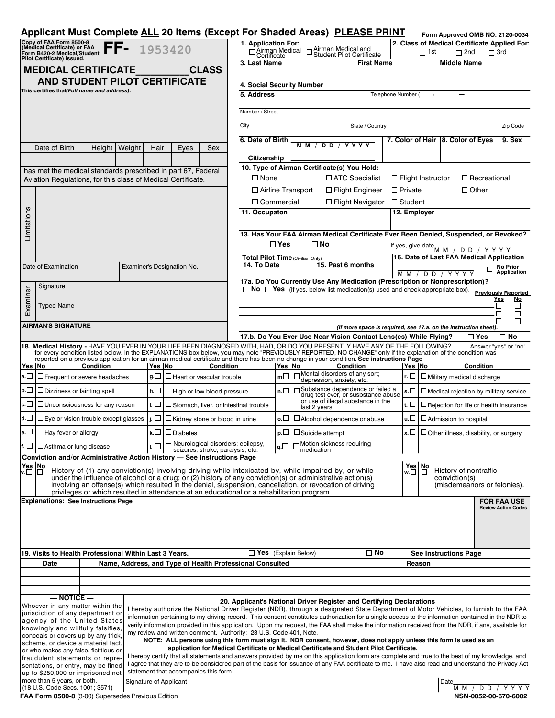|                                                                                                                                                                                                                                                                                                                                        |                                                                                          |        |      |                                                              |                                                                                                              |                                                                                                                                                                                                       |                                                                                                                                                     |                                  |                                                                                                                                                                        | Applicant Must Complete ALL 20 Items (Except For Shaded Areas) PLEASE PRINT                                                                                                                                                                                                                               |                                                       |                                                                                                   |                                                                     | Form Approved OMB NO. 2120-0034              |              |                                         |  |
|----------------------------------------------------------------------------------------------------------------------------------------------------------------------------------------------------------------------------------------------------------------------------------------------------------------------------------------|------------------------------------------------------------------------------------------|--------|------|--------------------------------------------------------------|--------------------------------------------------------------------------------------------------------------|-------------------------------------------------------------------------------------------------------------------------------------------------------------------------------------------------------|-----------------------------------------------------------------------------------------------------------------------------------------------------|----------------------------------|------------------------------------------------------------------------------------------------------------------------------------------------------------------------|-----------------------------------------------------------------------------------------------------------------------------------------------------------------------------------------------------------------------------------------------------------------------------------------------------------|-------------------------------------------------------|---------------------------------------------------------------------------------------------------|---------------------------------------------------------------------|----------------------------------------------|--------------|-----------------------------------------|--|
|                                                                                                                                                                                                                                                                                                                                        | Copy of FAA Form 8500-8<br>(Medical Certificate) or FAA                                  |        |      |                                                              | 1953420                                                                                                      |                                                                                                                                                                                                       | 1. Application For:                                                                                                                                 |                                  |                                                                                                                                                                        |                                                                                                                                                                                                                                                                                                           |                                                       |                                                                                                   |                                                                     | 2. Class of Medical Certificate Applied For: |              |                                         |  |
|                                                                                                                                                                                                                                                                                                                                        | Form B420-2 Medical/Student<br>Piorm B420-2 Medical/Student<br>Pilot Certificate) issues |        |      |                                                              |                                                                                                              | □ Airman Medical and<br>□ Student Pilot Certificate<br>D Airman Medical<br>$\Box$ 1st<br>$\Box$ 2nd<br>$\Box$ 3rd                                                                                     |                                                                                                                                                     |                                  |                                                                                                                                                                        |                                                                                                                                                                                                                                                                                                           |                                                       |                                                                                                   |                                                                     |                                              |              |                                         |  |
|                                                                                                                                                                                                                                                                                                                                        | <b>MEDICAL CERTIFICATE</b>                                                               |        |      |                                                              | <b>CLASS</b>                                                                                                 |                                                                                                                                                                                                       | 3. Last Name                                                                                                                                        |                                  |                                                                                                                                                                        | <b>First Name</b>                                                                                                                                                                                                                                                                                         |                                                       |                                                                                                   |                                                                     | <b>Middle Name</b>                           |              |                                         |  |
|                                                                                                                                                                                                                                                                                                                                        |                                                                                          |        |      |                                                              | AND STUDENT PILOT CERTIFICATE                                                                                |                                                                                                                                                                                                       |                                                                                                                                                     |                                  |                                                                                                                                                                        |                                                                                                                                                                                                                                                                                                           |                                                       |                                                                                                   |                                                                     |                                              |              |                                         |  |
|                                                                                                                                                                                                                                                                                                                                        | This certifies that(Full name and address):                                              |        |      |                                                              |                                                                                                              |                                                                                                                                                                                                       | 4. Social Security Number<br>5. Address<br>Telephone Number (                                                                                       |                                  |                                                                                                                                                                        |                                                                                                                                                                                                                                                                                                           |                                                       |                                                                                                   |                                                                     |                                              |              |                                         |  |
|                                                                                                                                                                                                                                                                                                                                        |                                                                                          |        |      |                                                              |                                                                                                              |                                                                                                                                                                                                       |                                                                                                                                                     |                                  |                                                                                                                                                                        |                                                                                                                                                                                                                                                                                                           |                                                       |                                                                                                   |                                                                     |                                              |              |                                         |  |
|                                                                                                                                                                                                                                                                                                                                        |                                                                                          |        |      |                                                              |                                                                                                              |                                                                                                                                                                                                       | Number / Street                                                                                                                                     |                                  |                                                                                                                                                                        |                                                                                                                                                                                                                                                                                                           |                                                       |                                                                                                   |                                                                     |                                              |              |                                         |  |
|                                                                                                                                                                                                                                                                                                                                        |                                                                                          |        |      |                                                              |                                                                                                              | State / Country<br>City                                                                                                                                                                               |                                                                                                                                                     |                                  |                                                                                                                                                                        |                                                                                                                                                                                                                                                                                                           |                                                       |                                                                                                   |                                                                     |                                              | Zip Code     |                                         |  |
|                                                                                                                                                                                                                                                                                                                                        |                                                                                          |        |      |                                                              |                                                                                                              | 6. Date of Birth<br>7. Color of Hair 8. Color of Eyes                                                                                                                                                 |                                                                                                                                                     |                                  |                                                                                                                                                                        |                                                                                                                                                                                                                                                                                                           |                                                       |                                                                                                   |                                                                     |                                              | 9. Sex       |                                         |  |
|                                                                                                                                                                                                                                                                                                                                        | Date of Birth                                                                            | Weight | Hair | Eyes<br>Sex                                                  |                                                                                                              |                                                                                                                                                                                                       | <b>MM/DD/YYYY</b>                                                                                                                                   |                                  |                                                                                                                                                                        |                                                                                                                                                                                                                                                                                                           |                                                       |                                                                                                   |                                                                     |                                              |              |                                         |  |
|                                                                                                                                                                                                                                                                                                                                        |                                                                                          |        |      |                                                              |                                                                                                              |                                                                                                                                                                                                       | Citizenship<br>10. Type of Airman Certificate(s) You Hold:                                                                                          |                                  |                                                                                                                                                                        |                                                                                                                                                                                                                                                                                                           |                                                       |                                                                                                   |                                                                     |                                              |              |                                         |  |
|                                                                                                                                                                                                                                                                                                                                        | Aviation Regulations, for this class of Medical Certificate.                             |        |      | has met the medical standards prescribed in part 67, Federal |                                                                                                              | $\square$ None<br>□ ATC Specialist<br>$\Box$ Flight Instructor<br>□ Recreational                                                                                                                      |                                                                                                                                                     |                                  |                                                                                                                                                                        |                                                                                                                                                                                                                                                                                                           |                                                       |                                                                                                   |                                                                     |                                              |              |                                         |  |
|                                                                                                                                                                                                                                                                                                                                        |                                                                                          |        |      |                                                              |                                                                                                              | □ Airline Transport<br>$\Box$ Other<br>$\Box$ Flight Engineer<br>$\Box$ Private                                                                                                                       |                                                                                                                                                     |                                  |                                                                                                                                                                        |                                                                                                                                                                                                                                                                                                           |                                                       |                                                                                                   |                                                                     |                                              |              |                                         |  |
|                                                                                                                                                                                                                                                                                                                                        |                                                                                          |        |      |                                                              |                                                                                                              |                                                                                                                                                                                                       | $\Box$ Commercial<br>□ Flight Navigator<br>$\Box$ Student                                                                                           |                                  |                                                                                                                                                                        |                                                                                                                                                                                                                                                                                                           |                                                       |                                                                                                   |                                                                     |                                              |              |                                         |  |
|                                                                                                                                                                                                                                                                                                                                        |                                                                                          |        |      |                                                              |                                                                                                              |                                                                                                                                                                                                       | 11. Occupaton<br>12. Employer                                                                                                                       |                                  |                                                                                                                                                                        |                                                                                                                                                                                                                                                                                                           |                                                       |                                                                                                   |                                                                     |                                              |              |                                         |  |
| Limitations                                                                                                                                                                                                                                                                                                                            |                                                                                          |        |      |                                                              |                                                                                                              |                                                                                                                                                                                                       |                                                                                                                                                     |                                  |                                                                                                                                                                        |                                                                                                                                                                                                                                                                                                           |                                                       |                                                                                                   |                                                                     |                                              |              |                                         |  |
|                                                                                                                                                                                                                                                                                                                                        |                                                                                          |        |      |                                                              |                                                                                                              |                                                                                                                                                                                                       | 13. Has Your FAA Airman Medical Certificate Ever Been Denied, Suspended, or Revoked?                                                                |                                  |                                                                                                                                                                        |                                                                                                                                                                                                                                                                                                           |                                                       |                                                                                                   |                                                                     |                                              |              |                                         |  |
|                                                                                                                                                                                                                                                                                                                                        |                                                                                          |        |      |                                                              |                                                                                                              |                                                                                                                                                                                                       |                                                                                                                                                     | $\square$ Yes<br>□ No            |                                                                                                                                                                        |                                                                                                                                                                                                                                                                                                           |                                                       | If yes, give date $\frac{M_{\text{M}}}{M_{\text{M}}}}$<br>/ D D / Y Y Y Y                         |                                                                     |                                              |              |                                         |  |
|                                                                                                                                                                                                                                                                                                                                        |                                                                                          |        |      |                                                              |                                                                                                              |                                                                                                                                                                                                       | 14. To Date                                                                                                                                         | Total Pilot Time (Civilian Only) |                                                                                                                                                                        | 15. Past 6 months                                                                                                                                                                                                                                                                                         |                                                       |                                                                                                   |                                                                     | 16. Date of Last FAA Medical Application     |              |                                         |  |
|                                                                                                                                                                                                                                                                                                                                        | Date of Examination                                                                      |        |      |                                                              | Examiner's Designation No.                                                                                   |                                                                                                                                                                                                       |                                                                                                                                                     |                                  |                                                                                                                                                                        |                                                                                                                                                                                                                                                                                                           | M M /<br>D D<br>Y Y Y Y                               |                                                                                                   |                                                                     |                                              |              | <b>No Prior</b><br>Application          |  |
|                                                                                                                                                                                                                                                                                                                                        | Signature                                                                                |        |      |                                                              |                                                                                                              |                                                                                                                                                                                                       |                                                                                                                                                     |                                  | 17a. Do You Currently Use Any Medication (Prescription or Nonprescription)?<br>$\Box$ No $\Box$ Yes (If yes, below list medication(s) used and check appropriate box). |                                                                                                                                                                                                                                                                                                           |                                                       |                                                                                                   |                                                                     |                                              |              |                                         |  |
| Examiner                                                                                                                                                                                                                                                                                                                               |                                                                                          |        |      |                                                              |                                                                                                              |                                                                                                                                                                                                       |                                                                                                                                                     |                                  |                                                                                                                                                                        |                                                                                                                                                                                                                                                                                                           |                                                       |                                                                                                   |                                                                     |                                              | <b>Yes</b>   | <b>Previously Reported</b><br><u>No</u> |  |
|                                                                                                                                                                                                                                                                                                                                        | <b>Typed Name</b>                                                                        |        |      |                                                              |                                                                                                              |                                                                                                                                                                                                       |                                                                                                                                                     |                                  |                                                                                                                                                                        |                                                                                                                                                                                                                                                                                                           |                                                       |                                                                                                   |                                                                     | П                                            | □            |                                         |  |
|                                                                                                                                                                                                                                                                                                                                        |                                                                                          |        |      |                                                              |                                                                                                              |                                                                                                                                                                                                       |                                                                                                                                                     |                                  |                                                                                                                                                                        |                                                                                                                                                                                                                                                                                                           |                                                       |                                                                                                   |                                                                     |                                              | П<br>П       | □<br>П                                  |  |
|                                                                                                                                                                                                                                                                                                                                        | <b>AIRMAN'S SIGNATURE</b>                                                                |        |      |                                                              |                                                                                                              |                                                                                                                                                                                                       | (If more space is required, see 17.a. on the instruction sheet).<br>17.b. Do You Ever Use Near Vision Contact Lens(es) While Flying?<br>⊟ Yes       |                                  |                                                                                                                                                                        |                                                                                                                                                                                                                                                                                                           |                                                       |                                                                                                   |                                                                     |                                              | $\square$ No |                                         |  |
|                                                                                                                                                                                                                                                                                                                                        |                                                                                          |        |      |                                                              |                                                                                                              |                                                                                                                                                                                                       |                                                                                                                                                     |                                  |                                                                                                                                                                        | 18. Medical History - HAVE YOU EVER IN YOUR LIFE BEEN DIAGNOSED WITH, HAD, OR DO YOU PRESENTLY HAVE ANY OF THE FOLLOWING?                                                                                                                                                                                 |                                                       |                                                                                                   |                                                                     |                                              |              | Answer "yes" or "no"                    |  |
|                                                                                                                                                                                                                                                                                                                                        |                                                                                          |        |      |                                                              |                                                                                                              |                                                                                                                                                                                                       |                                                                                                                                                     |                                  |                                                                                                                                                                        | for every condition listed below. In the EXPLANATIONS box below, you may note "PREVIOUSLY REPORTED, NO CHANGE" only if the explanation of the condition was<br>reported on a previous application for an airman medical certificate and there has been no change in your condition. See instructions Page |                                                       |                                                                                                   |                                                                     |                                              |              |                                         |  |
|                                                                                                                                                                                                                                                                                                                                        | Condition<br>Yes  No<br>Yes No<br>Condition                                              |        |      |                                                              |                                                                                                              |                                                                                                                                                                                                       |                                                                                                                                                     |                                  | Yes  No<br><b>Condition</b><br>Mental disorders of any sort;                                                                                                           |                                                                                                                                                                                                                                                                                                           |                                                       | Yes  No<br>Condition                                                                              |                                                                     |                                              |              |                                         |  |
| a.⊡                                                                                                                                                                                                                                                                                                                                    | $\Box$ Frequent or severe headaches                                                      |        |      | g.□                                                          | $\Box$ Heart or vascular trouble                                                                             |                                                                                                                                                                                                       |                                                                                                                                                     | mП                               |                                                                                                                                                                        | depression, anxiety, etc.                                                                                                                                                                                                                                                                                 |                                                       | r. $\Box$ $\Box$ Military medical discharge                                                       |                                                                     |                                              |              |                                         |  |
| $b.\Box$                                                                                                                                                                                                                                                                                                                               | $\Box$ Dizziness or fainting spell<br>h.□<br>L High or low blood pressure                |        |      |                                                              |                                                                                                              |                                                                                                                                                                                                       |                                                                                                                                                     | n.                               |                                                                                                                                                                        | □ Substance dependence or failed a<br>drug test ever, or susbstance abuse                                                                                                                                                                                                                                 |                                                       | s.□<br>$\Box$ Medical rejection by military service                                               |                                                                     |                                              |              |                                         |  |
| $\mathsf{c}.\Box$<br>$\Box$ Unconsciousness for any reason<br>i. □                                                                                                                                                                                                                                                                     |                                                                                          |        |      |                                                              | Stomach, liver, or intestinal trouble                                                                        |                                                                                                                                                                                                       |                                                                                                                                                     |                                  | or use of illegal substance in the<br>last 2 years.                                                                                                                    |                                                                                                                                                                                                                                                                                                           | t. □<br>$\Box$ Rejection for life or health insurance |                                                                                                   |                                                                     |                                              |              |                                         |  |
| d.⊡                                                                                                                                                                                                                                                                                                                                    | □ Eye or vision trouble except glasses<br>i. □<br>$\Box$ Kidney stone or blood in urine  |        |      |                                                              |                                                                                                              |                                                                                                                                                                                                       |                                                                                                                                                     |                                  | $\circ$ . $\Box$   $\Box$ Alcohol dependence or abuse                                                                                                                  |                                                                                                                                                                                                                                                                                                           | $\mathsf{u}.\Box$   $\Box$ Admission to hospital      |                                                                                                   |                                                                     |                                              |              |                                         |  |
|                                                                                                                                                                                                                                                                                                                                        | e. $\Box$ $\Box$ Hay fever or allergy<br>$k.\Box$ $\square$ Diabetes                     |        |      |                                                              |                                                                                                              |                                                                                                                                                                                                       |                                                                                                                                                     |                                  |                                                                                                                                                                        | $p.\Box$ $\Box$ Suicide attempt                                                                                                                                                                                                                                                                           |                                                       |                                                                                                   | <b>x.</b> $\square$ $\square$ Other illness, disability, or surgery |                                              |              |                                         |  |
| Neurological disorders; epilepsy,<br><sup>1</sup> f. □  □ Asthma or lung disease<br>ւ □                                                                                                                                                                                                                                                |                                                                                          |        |      |                                                              |                                                                                                              |                                                                                                                                                                                                       |                                                                                                                                                     | $q.\Box$                         |                                                                                                                                                                        | Motion sickness requiring                                                                                                                                                                                                                                                                                 |                                                       |                                                                                                   |                                                                     |                                              |              |                                         |  |
|                                                                                                                                                                                                                                                                                                                                        |                                                                                          |        |      |                                                              | seizures, stroke, paralysis, etc.<br>Conviction and/or Administrative Action History - See Instructions Page |                                                                                                                                                                                                       |                                                                                                                                                     |                                  |                                                                                                                                                                        | medication                                                                                                                                                                                                                                                                                                |                                                       |                                                                                                   |                                                                     |                                              |              |                                         |  |
|                                                                                                                                                                                                                                                                                                                                        |                                                                                          |        |      |                                                              |                                                                                                              |                                                                                                                                                                                                       |                                                                                                                                                     |                                  |                                                                                                                                                                        |                                                                                                                                                                                                                                                                                                           |                                                       |                                                                                                   |                                                                     | History of nontraffic                        |              |                                         |  |
| Yes  No<br> v.□  □<br>History of (1) any conviction(s) involving driving while intoxicated by, while impaired by, or while<br>under the influence of alcohol or a drug; or (2) history of any conviction(s) or administrative action(s)                                                                                                |                                                                                          |        |      |                                                              |                                                                                                              |                                                                                                                                                                                                       |                                                                                                                                                     |                                  |                                                                                                                                                                        |                                                                                                                                                                                                                                                                                                           |                                                       | $\left \begin{array}{c}\n\text{Yes} \\ \text{w}.\Box\n\end{array}\right $ $\Box$<br>conviction(s) |                                                                     |                                              |              |                                         |  |
|                                                                                                                                                                                                                                                                                                                                        |                                                                                          |        |      |                                                              |                                                                                                              | involving an offense(s) which resulted in the denial, suspension, cancellation, or revocation of driving<br>privileges or which resulted in attendance at an educational or a rehabilitation program. |                                                                                                                                                     |                                  |                                                                                                                                                                        |                                                                                                                                                                                                                                                                                                           |                                                       | (misdemeanors or felonies).                                                                       |                                                                     |                                              |              |                                         |  |
|                                                                                                                                                                                                                                                                                                                                        | <b>Explanations: See Instructions Page</b>                                               |        |      |                                                              |                                                                                                              |                                                                                                                                                                                                       |                                                                                                                                                     |                                  |                                                                                                                                                                        |                                                                                                                                                                                                                                                                                                           |                                                       |                                                                                                   |                                                                     |                                              |              | <b>FOR FAA USE</b>                      |  |
|                                                                                                                                                                                                                                                                                                                                        |                                                                                          |        |      |                                                              |                                                                                                              |                                                                                                                                                                                                       |                                                                                                                                                     |                                  |                                                                                                                                                                        |                                                                                                                                                                                                                                                                                                           |                                                       |                                                                                                   |                                                                     |                                              |              | <b>Review Action Codes</b>              |  |
|                                                                                                                                                                                                                                                                                                                                        |                                                                                          |        |      |                                                              |                                                                                                              |                                                                                                                                                                                                       |                                                                                                                                                     |                                  |                                                                                                                                                                        |                                                                                                                                                                                                                                                                                                           |                                                       |                                                                                                   |                                                                     |                                              |              |                                         |  |
|                                                                                                                                                                                                                                                                                                                                        |                                                                                          |        |      |                                                              |                                                                                                              |                                                                                                                                                                                                       |                                                                                                                                                     |                                  |                                                                                                                                                                        |                                                                                                                                                                                                                                                                                                           |                                                       |                                                                                                   |                                                                     |                                              |              |                                         |  |
|                                                                                                                                                                                                                                                                                                                                        |                                                                                          |        |      |                                                              |                                                                                                              |                                                                                                                                                                                                       | $\square$ No<br>$\Box$ Yes (Explain Below)                                                                                                          |                                  |                                                                                                                                                                        |                                                                                                                                                                                                                                                                                                           | <b>See Instructions Page</b>                          |                                                                                                   |                                                                     |                                              |              |                                         |  |
| 19. Visits to Health Professional Within Last 3 Years.<br>Name, Address, and Type of Health Professional Consulted<br>Date                                                                                                                                                                                                             |                                                                                          |        |      |                                                              |                                                                                                              |                                                                                                                                                                                                       |                                                                                                                                                     |                                  |                                                                                                                                                                        |                                                                                                                                                                                                                                                                                                           | Reason                                                |                                                                                                   |                                                                     |                                              |              |                                         |  |
|                                                                                                                                                                                                                                                                                                                                        |                                                                                          |        |      |                                                              |                                                                                                              |                                                                                                                                                                                                       |                                                                                                                                                     |                                  |                                                                                                                                                                        |                                                                                                                                                                                                                                                                                                           |                                                       |                                                                                                   |                                                                     |                                              |              |                                         |  |
|                                                                                                                                                                                                                                                                                                                                        |                                                                                          |        |      |                                                              |                                                                                                              |                                                                                                                                                                                                       |                                                                                                                                                     |                                  |                                                                                                                                                                        |                                                                                                                                                                                                                                                                                                           |                                                       |                                                                                                   |                                                                     |                                              |              |                                         |  |
| $-$ NOTICE $-$<br>20. Applicant's National Driver Register and Certifying Declarations                                                                                                                                                                                                                                                 |                                                                                          |        |      |                                                              |                                                                                                              |                                                                                                                                                                                                       |                                                                                                                                                     |                                  |                                                                                                                                                                        |                                                                                                                                                                                                                                                                                                           |                                                       |                                                                                                   |                                                                     |                                              |              |                                         |  |
|                                                                                                                                                                                                                                                                                                                                        | Whoever in any matter within the<br>jurisdiction of any department or                    |        |      |                                                              |                                                                                                              |                                                                                                                                                                                                       |                                                                                                                                                     |                                  |                                                                                                                                                                        | I hereby authorize the National Driver Register (NDR), through a designated State Department of Motor Vehicles, to furnish to the FAA                                                                                                                                                                     |                                                       |                                                                                                   |                                                                     |                                              |              |                                         |  |
| information pertaining to my driving record. This consent constitutes authorization for a single access to the information contained in the NDR to<br>agency of the United States<br>verify information provided in this application. Upon my request, the FAA shall make the information received from the NDR, if any, available for |                                                                                          |        |      |                                                              |                                                                                                              |                                                                                                                                                                                                       |                                                                                                                                                     |                                  |                                                                                                                                                                        |                                                                                                                                                                                                                                                                                                           |                                                       |                                                                                                   |                                                                     |                                              |              |                                         |  |
| knowingly and willfully falsifies,<br>my review and written comment. Authority: 23 U.S. Code 401, Note.<br>conceals or covers up by any trick,<br>NOTE: ALL persons using this form must sign it. NDR consent, however, does not apply unless this form is used as an                                                                  |                                                                                          |        |      |                                                              |                                                                                                              |                                                                                                                                                                                                       |                                                                                                                                                     |                                  |                                                                                                                                                                        |                                                                                                                                                                                                                                                                                                           |                                                       |                                                                                                   |                                                                     |                                              |              |                                         |  |
|                                                                                                                                                                                                                                                                                                                                        | scheme, or device a material fact,<br>or who makes any false, fictitious or              |        |      |                                                              |                                                                                                              |                                                                                                                                                                                                       |                                                                                                                                                     |                                  | application for Medical Certificate or Medical Certificate and Student Pilot Certificate.                                                                              |                                                                                                                                                                                                                                                                                                           |                                                       |                                                                                                   |                                                                     |                                              |              |                                         |  |
|                                                                                                                                                                                                                                                                                                                                        | fraudulent statements or repre-                                                          |        |      |                                                              |                                                                                                              |                                                                                                                                                                                                       |                                                                                                                                                     |                                  | I hereby certify that all statements and answers provided by me on this application form are complete and true to the best of my knowledge, and                        |                                                                                                                                                                                                                                                                                                           |                                                       |                                                                                                   |                                                                     |                                              |              |                                         |  |
|                                                                                                                                                                                                                                                                                                                                        | sentations, or entry, may be fined<br>up to \$250,000 or imprisoned not                  |        |      |                                                              | statement that accompanies this form.                                                                        |                                                                                                                                                                                                       | I agree that they are to be considered part of the basis for issuance of any FAA certificate to me. I have also read and understand the Privacy Act |                                  |                                                                                                                                                                        |                                                                                                                                                                                                                                                                                                           |                                                       |                                                                                                   |                                                                     |                                              |              |                                         |  |
|                                                                                                                                                                                                                                                                                                                                        | more than 5 years, or both.                                                              |        |      |                                                              | Signature of Applicant                                                                                       | Date                                                                                                                                                                                                  |                                                                                                                                                     |                                  |                                                                                                                                                                        |                                                                                                                                                                                                                                                                                                           |                                                       |                                                                                                   |                                                                     |                                              |              |                                         |  |
| (18 U.S. Code Secs. 1001; 3571)<br>FAA Form 8500-8 (3-00) Supersedes Previous Edition                                                                                                                                                                                                                                                  |                                                                                          |        |      |                                                              |                                                                                                              |                                                                                                                                                                                                       |                                                                                                                                                     |                                  |                                                                                                                                                                        | M M<br>D D<br>YYY<br>NSN-0052-00-670-6002                                                                                                                                                                                                                                                                 |                                                       |                                                                                                   |                                                                     |                                              |              |                                         |  |